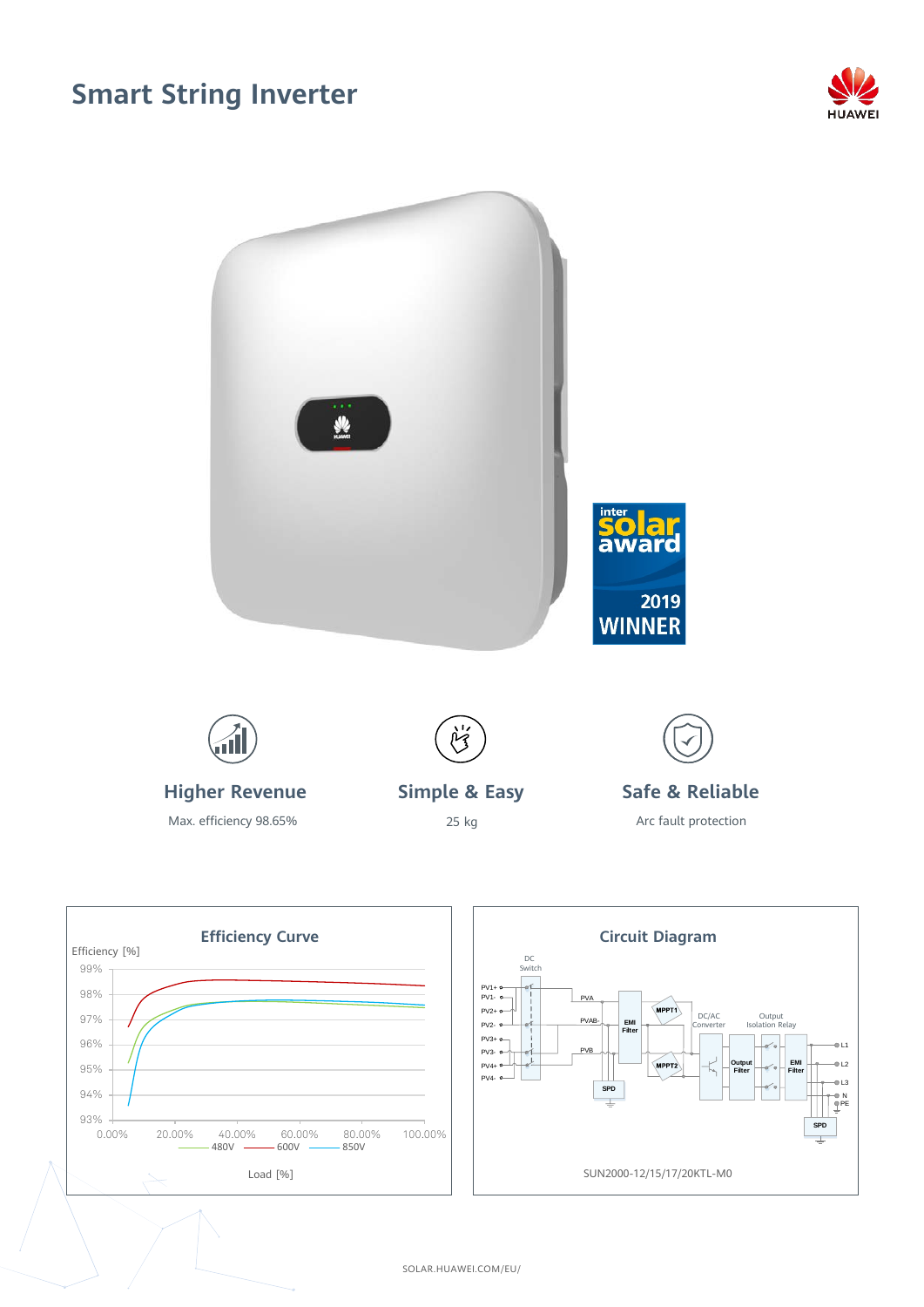## **Smart String Inverter**







SOLAR.HUAWEI.COM/EU/